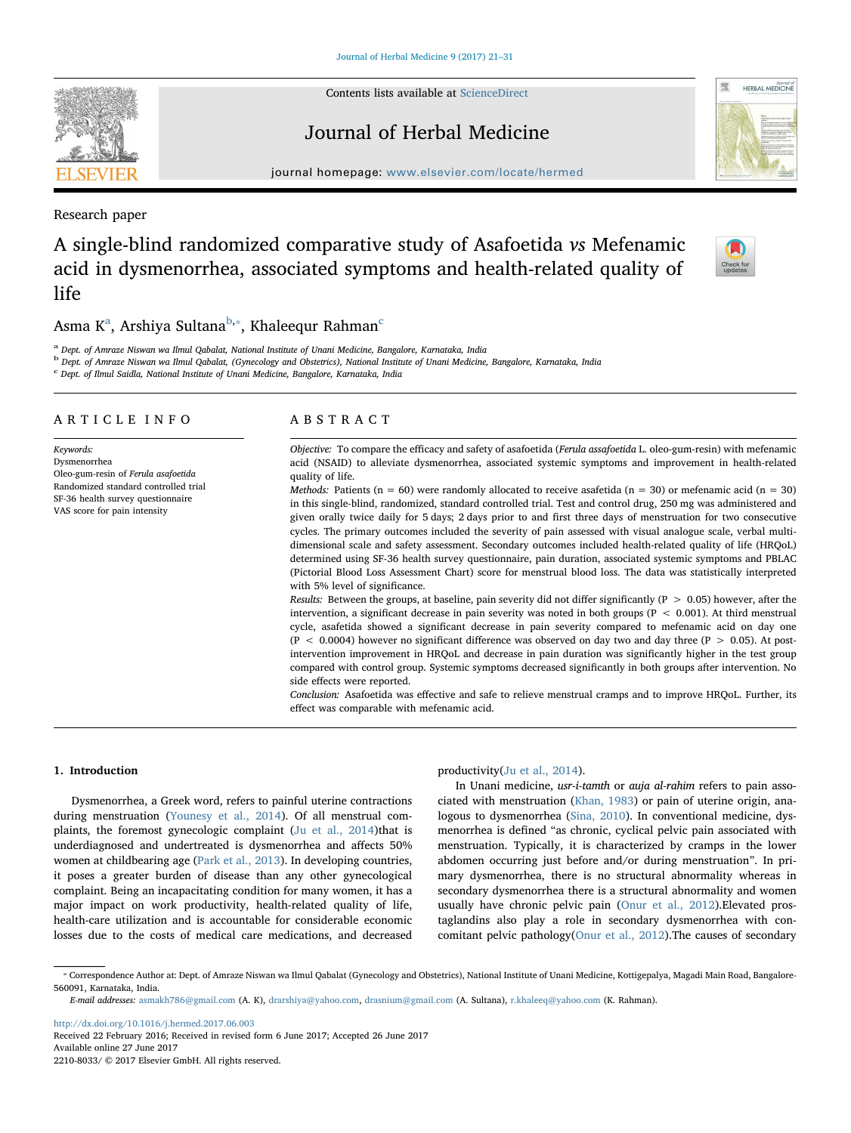Contents lists available at [ScienceDirect](http://www.sciencedirect.com/science/journal/22108033)

# Journal of Herbal Medicine

journal homepage: [www.elsevier.com/locate/hermed](http://www.elsevier.com/locate/hermed)

Research paper

# A single-blind randomized comparative study of Asafoetida vs Mefenamic acid in dysmenorrhea, associated symptoms and health-related quality of life

# Asm[a](#page-0-0) K $^{\rm a}$ , Arshiya Sultana $^{\rm b, *}$  $^{\rm b, *}$  $^{\rm b, *}$ , Khaleequr Rahman $^{\rm c}$  $^{\rm c}$  $^{\rm c}$

<span id="page-0-0"></span><sup>a</sup> Dept. of Amraze Niswan wa Ilmul Qabalat, National Institute of Unani Medicine, Bangalore, Karnataka, India

<span id="page-0-1"></span><sup>b</sup> Dept. of Amraze Niswan wa Ilmul Qabalat, (Gynecology and Obstetrics), National Institute of Unani Medicine, Bangalore, Karnataka, India

<span id="page-0-3"></span><sup>c</sup> Dept. of Ilmul Saidla, National Institute of Unani Medicine, Bangalore, Karnataka, India

| ARTICLE INFO                                                                                                                                                                  | ABSTRACT                                                                                                                                                                                                                                                                                                                                                                                                                                                                                                                                                                                                                                                                                                                                                                                                                                                                                                                                                                                                                                                                                                               |  |  |
|-------------------------------------------------------------------------------------------------------------------------------------------------------------------------------|------------------------------------------------------------------------------------------------------------------------------------------------------------------------------------------------------------------------------------------------------------------------------------------------------------------------------------------------------------------------------------------------------------------------------------------------------------------------------------------------------------------------------------------------------------------------------------------------------------------------------------------------------------------------------------------------------------------------------------------------------------------------------------------------------------------------------------------------------------------------------------------------------------------------------------------------------------------------------------------------------------------------------------------------------------------------------------------------------------------------|--|--|
| Keywords:<br>Dysmenorrhea<br>Oleo-gum-resin of Ferula asafoetida<br>Randomized standard controlled trial<br>SF-36 health survey questionnaire<br>VAS score for pain intensity | Objective: To compare the efficacy and safety of asafoetida (Ferula assafoetida L. oleo-gum-resin) with mefenamic<br>acid (NSAID) to alleviate dysmenorrhea, associated systemic symptoms and improvement in health-related<br>quality of life.<br><i>Methods:</i> Patients ( $n = 60$ ) were randomly allocated to receive asafetida ( $n = 30$ ) or mefenamic acid ( $n = 30$ )<br>in this single-blind, randomized, standard controlled trial. Test and control drug, 250 mg was administered and<br>given orally twice daily for 5 days; 2 days prior to and first three days of menstruation for two consecutive<br>cycles. The primary outcomes included the severity of pain assessed with visual analogue scale, verbal multi-<br>dimensional scale and safety assessment. Secondary outcomes included health-related quality of life (HRQoL)<br>determined using SF-36 health survey questionnaire, pain duration, associated systemic symptoms and PBLAC<br>(Pictorial Blood Loss Assessment Chart) score for menstrual blood loss. The data was statistically interpreted<br>with 5% level of significance. |  |  |
|                                                                                                                                                                               | Results: Between the groups, at baseline, pain severity did not differ significantly ( $P > 0.05$ ) however, after the<br>intervention, a significant decrease in pain severity was noted in both groups ( $P < 0.001$ ). At third menstrual<br>cycle, asafetida showed a significant decrease in pain severity compared to mefenamic acid on day one<br>$(P < 0.0004)$ however no significant difference was observed on day two and day three $(P > 0.05)$ . At post-<br>intervention improvement in HROOL and decrease in pain duration was significantly higher in the test group<br>compared with control group. Systemic symptoms decreased significantly in both groups after intervention. No<br>side effects were reported.<br>Conclusion: Asafoetida was effective and safe to relieve menstrual cramps and to improve HRQoL. Further, its<br>effect was comparable with mefenamic acid.                                                                                                                                                                                                                     |  |  |

### 1. Introduction

Dysmenorrhea, a Greek word, refers to painful uterine contractions during menstruation [\(Younesy et al., 2014\)](#page-10-0). Of all menstrual com-plaints, the foremost gynecologic complaint [\(Ju et al., 2014\)](#page-9-0)that is underdiagnosed and undertreated is dysmenorrhea and affects 50% women at childbearing age [\(Park et al., 2013](#page-10-1)). In developing countries, it poses a greater burden of disease than any other gynecological complaint. Being an incapacitating condition for many women, it has a major impact on work productivity, health-related quality of life, health-care utilization and is accountable for considerable economic losses due to the costs of medical care medications, and decreased

### productivity([Ju et al., 2014\)](#page-9-0).

In Unani medicine, usr-i-tamth or auja al-rahim refers to pain associated with menstruation [\(Khan, 1983\)](#page-10-2) or pain of uterine origin, analogous to dysmenorrhea [\(Sina, 2010\)](#page-10-3). In conventional medicine, dysmenorrhea is defined "as chronic, cyclical pelvic pain associated with menstruation. Typically, it is characterized by cramps in the lower abdomen occurring just before and/or during menstruation". In primary dysmenorrhea, there is no structural abnormality whereas in secondary dysmenorrhea there is a structural abnormality and women usually have chronic pelvic pain ([Onur et al., 2012](#page-10-4)).Elevated prostaglandins also play a role in secondary dysmenorrhea with concomitant pelvic pathology([Onur et al., 2012](#page-10-4)).The causes of secondary

<http://dx.doi.org/10.1016/j.hermed.2017.06.003> Received 22 February 2016; Received in revised form 6 June 2017; Accepted 26 June 2017 Available online 27 June 2017

2210-8033/ © 2017 Elsevier GmbH. All rights reserved.







<span id="page-0-2"></span><sup>⁎</sup> Correspondence Author at: Dept. of Amraze Niswan wa Ilmul Qabalat (Gynecology and Obstetrics), National Institute of Unani Medicine, Kottigepalya, Magadi Main Road, Bangalore-560091, Karnataka, India.

E-mail addresses: [asmakh786@gmail.com](mailto:asmakh786@gmail.com) (A. K), [drarshiya@yahoo.com](mailto:drarshiya@yahoo.com), [drasnium@gmail.com](mailto:drasnium@gmail.com) (A. Sultana), [r.khaleeq@yahoo.com](mailto:r.khaleeq@yahoo.com) (K. Rahman).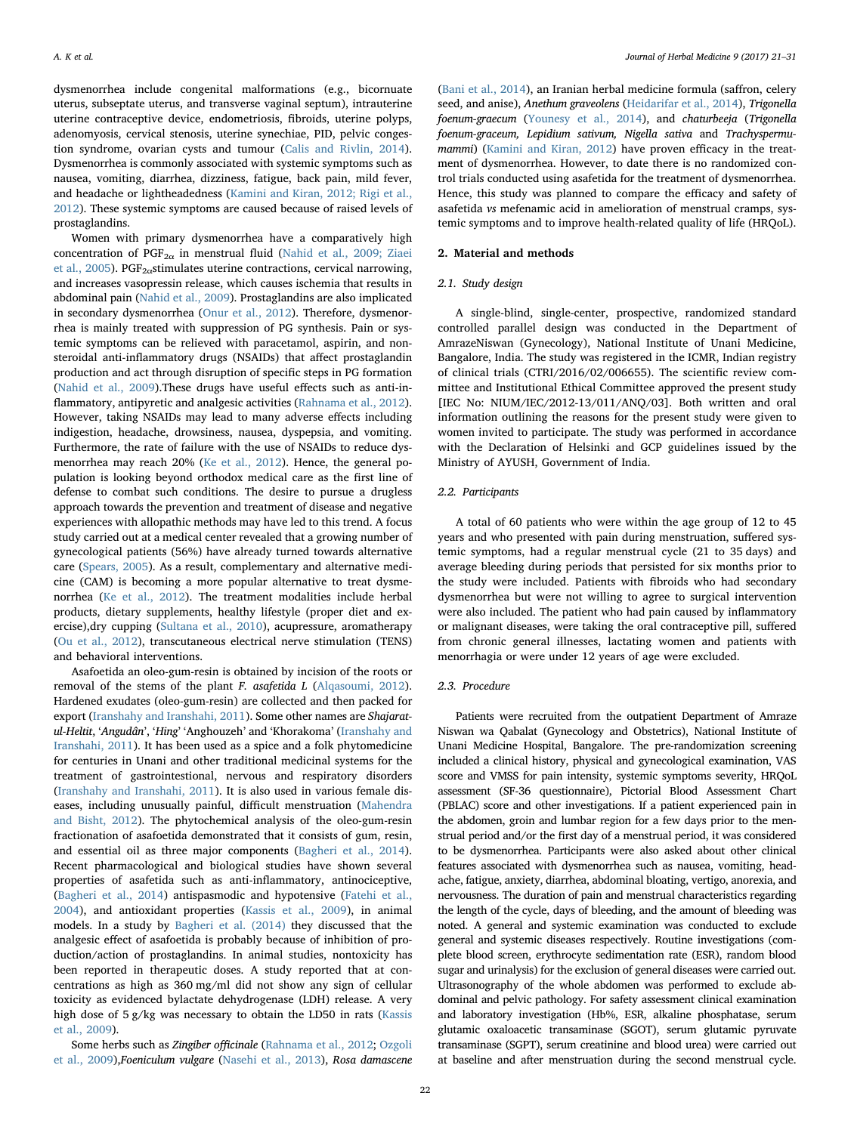dysmenorrhea include congenital malformations (e.g., bicornuate uterus, subseptate uterus, and transverse vaginal septum), intrauterine uterine contraceptive device, endometriosis, fibroids, uterine polyps, adenomyosis, cervical stenosis, uterine synechiae, PID, pelvic congestion syndrome, ovarian cysts and tumour [\(Calis and Rivlin, 2014](#page-9-1)). Dysmenorrhea is commonly associated with systemic symptoms such as nausea, vomiting, diarrhea, dizziness, fatigue, back pain, mild fever, and headache or lightheadedness [\(Kamini and Kiran, 2012; Rigi et al.,](#page-9-2) [2012\)](#page-9-2). These systemic symptoms are caused because of raised levels of prostaglandins.

Women with primary dysmenorrhea have a comparatively high concentration of  $PGF_{2\alpha}$  in menstrual fluid ([Nahid et al., 2009; Ziaei](#page-10-5) et al.,  $2005$ ). PGF<sub>2 $\alpha$ </sub>stimulates uterine contractions, cervical narrowing, and increases vasopressin release, which causes ischemia that results in abdominal pain ([Nahid et al., 2009\)](#page-10-5). Prostaglandins are also implicated in secondary dysmenorrhea ([Onur et al., 2012](#page-10-4)). Therefore, dysmenorrhea is mainly treated with suppression of PG synthesis. Pain or systemic symptoms can be relieved with paracetamol, aspirin, and nonsteroidal anti-inflammatory drugs (NSAIDs) that affect prostaglandin production and act through disruption of specific steps in PG formation ([Nahid et al., 2009](#page-10-5)).These drugs have useful effects such as anti-inflammatory, antipyretic and analgesic activities ([Rahnama et al., 2012](#page-10-6)). However, taking NSAIDs may lead to many adverse effects including indigestion, headache, drowsiness, nausea, dyspepsia, and vomiting. Furthermore, the rate of failure with the use of NSAIDs to reduce dysmenorrhea may reach 20% ([Ke et al., 2012](#page-10-7)). Hence, the general population is looking beyond orthodox medical care as the first line of defense to combat such conditions. The desire to pursue a drugless approach towards the prevention and treatment of disease and negative experiences with allopathic methods may have led to this trend. A focus study carried out at a medical center revealed that a growing number of gynecological patients (56%) have already turned towards alternative care [\(Spears, 2005\)](#page-10-8). As a result, complementary and alternative medicine (CAM) is becoming a more popular alternative to treat dysmenorrhea [\(Ke et al., 2012\)](#page-10-7). The treatment modalities include herbal products, dietary supplements, healthy lifestyle (proper diet and exercise),dry cupping [\(Sultana et al., 2010\)](#page-10-9), acupressure, aromatherapy ([Ou et al., 2012](#page-10-10)), transcutaneous electrical nerve stimulation (TENS) and behavioral interventions.

Asafoetida an oleo-gum-resin is obtained by incision of the roots or removal of the stems of the plant F. asafetida L [\(Alqasoumi, 2012](#page-9-3)). Hardened exudates (oleo-gum-resin) are collected and then packed for export [\(Iranshahy and Iranshahi, 2011\)](#page-9-4). Some other names are Shajaratul-Heltit, 'Angudân', 'Hing' 'Anghouzeh' and 'Khorakoma' ([Iranshahy and](#page-9-4) [Iranshahi, 2011](#page-9-4)). It has been used as a spice and a folk phytomedicine for centuries in Unani and other traditional medicinal systems for the treatment of gastrointestional, nervous and respiratory disorders ([Iranshahy and Iranshahi, 2011\)](#page-9-4). It is also used in various female diseases, including unusually painful, difficult menstruation ([Mahendra](#page-10-11) [and Bisht, 2012](#page-10-11)). The phytochemical analysis of the oleo-gum-resin fractionation of asafoetida demonstrated that it consists of gum, resin, and essential oil as three major components [\(Bagheri et al., 2014](#page-9-5)). Recent pharmacological and biological studies have shown several properties of asafetida such as anti-inflammatory, antinociceptive, ([Bagheri et al., 2014\)](#page-9-5) antispasmodic and hypotensive ([Fatehi et al.,](#page-9-6) [2004\)](#page-9-6), and antioxidant properties ([Kassis et al., 2009\)](#page-10-12), in animal models. In a study by [Bagheri et al. \(2014\)](#page-9-5) they discussed that the analgesic effect of asafoetida is probably because of inhibition of production/action of prostaglandins. In animal studies, nontoxicity has been reported in therapeutic doses. A study reported that at concentrations as high as 360 mg/ml did not show any sign of cellular toxicity as evidenced bylactate dehydrogenase (LDH) release. A very high dose of 5 g/kg was necessary to obtain the LD50 in rats ([Kassis](#page-10-12) [et al., 2009](#page-10-12)).

Some herbs such as Zingiber officinale ([Rahnama et al., 2012](#page-10-6); [Ozgoli](#page-10-13) [et al., 2009](#page-10-13)),Foeniculum vulgare [\(Nasehi et al., 2013\)](#page-10-14), Rosa damascene

([Bani et al., 2014](#page-9-7)), an Iranian herbal medicine formula (saffron, celery seed, and anise), Anethum graveolens ([Heidarifar et al., 2014\)](#page-9-8), Trigonella foenum-graecum ([Younesy et al., 2014\)](#page-10-0), and chaturbeeja (Trigonella foenum-graceum, Lepidium sativum, Nigella sativa and Trachyspermumammi) ([Kamini and Kiran, 2012\)](#page-9-2) have proven efficacy in the treatment of dysmenorrhea. However, to date there is no randomized control trials conducted using asafetida for the treatment of dysmenorrhea. Hence, this study was planned to compare the efficacy and safety of asafetida vs mefenamic acid in amelioration of menstrual cramps, systemic symptoms and to improve health-related quality of life (HRQoL).

### 2. Material and methods

### 2.1. Study design

A single-blind, single-center, prospective, randomized standard controlled parallel design was conducted in the Department of AmrazeNiswan (Gynecology), National Institute of Unani Medicine, Bangalore, India. The study was registered in the ICMR, Indian registry of clinical trials (CTRI/2016/02/006655). The scientific review committee and Institutional Ethical Committee approved the present study [IEC No: NIUM/IEC/2012-13/011/ANQ/03]. Both written and oral information outlining the reasons for the present study were given to women invited to participate. The study was performed in accordance with the Declaration of Helsinki and GCP guidelines issued by the Ministry of AYUSH, Government of India.

#### 2.2. Participants

A total of 60 patients who were within the age group of 12 to 45 years and who presented with pain during menstruation, suffered systemic symptoms, had a regular menstrual cycle (21 to 35 days) and average bleeding during periods that persisted for six months prior to the study were included. Patients with fibroids who had secondary dysmenorrhea but were not willing to agree to surgical intervention were also included. The patient who had pain caused by inflammatory or malignant diseases, were taking the oral contraceptive pill, suffered from chronic general illnesses, lactating women and patients with menorrhagia or were under 12 years of age were excluded.

#### 2.3. Procedure

Patients were recruited from the outpatient Department of Amraze Niswan wa Qabalat (Gynecology and Obstetrics), National Institute of Unani Medicine Hospital, Bangalore. The pre-randomization screening included a clinical history, physical and gynecological examination, VAS score and VMSS for pain intensity, systemic symptoms severity, HRQoL assessment (SF-36 questionnaire), Pictorial Blood Assessment Chart (PBLAC) score and other investigations. If a patient experienced pain in the abdomen, groin and lumbar region for a few days prior to the menstrual period and/or the first day of a menstrual period, it was considered to be dysmenorrhea. Participants were also asked about other clinical features associated with dysmenorrhea such as nausea, vomiting, headache, fatigue, anxiety, diarrhea, abdominal bloating, vertigo, anorexia, and nervousness. The duration of pain and menstrual characteristics regarding the length of the cycle, days of bleeding, and the amount of bleeding was noted. A general and systemic examination was conducted to exclude general and systemic diseases respectively. Routine investigations (complete blood screen, erythrocyte sedimentation rate (ESR), random blood sugar and urinalysis) for the exclusion of general diseases were carried out. Ultrasonography of the whole abdomen was performed to exclude abdominal and pelvic pathology. For safety assessment clinical examination and laboratory investigation (Hb%, ESR, alkaline phosphatase, serum glutamic oxaloacetic transaminase (SGOT), serum glutamic pyruvate transaminase (SGPT), serum creatinine and blood urea) were carried out at baseline and after menstruation during the second menstrual cycle.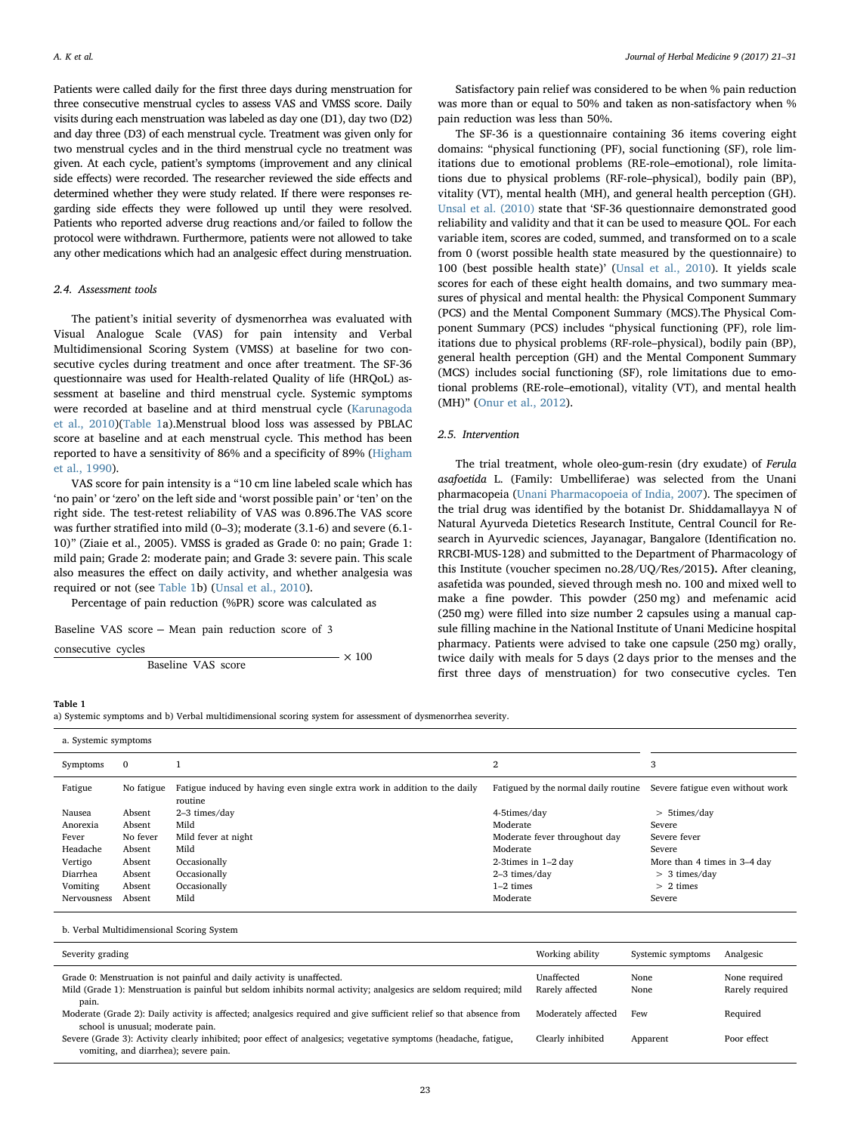Patients were called daily for the first three days during menstruation for three consecutive menstrual cycles to assess VAS and VMSS score. Daily visits during each menstruation was labeled as day one (D1), day two (D2) and day three (D3) of each menstrual cycle. Treatment was given only for two menstrual cycles and in the third menstrual cycle no treatment was given. At each cycle, patient's symptoms (improvement and any clinical side effects) were recorded. The researcher reviewed the side effects and determined whether they were study related. If there were responses regarding side effects they were followed up until they were resolved. Patients who reported adverse drug reactions and/or failed to follow the protocol were withdrawn. Furthermore, patients were not allowed to take any other medications which had an analgesic effect during menstruation.

#### 2.4. Assessment tools

The patient's initial severity of dysmenorrhea was evaluated with Visual Analogue Scale (VAS) for pain intensity and Verbal Multidimensional Scoring System (VMSS) at baseline for two consecutive cycles during treatment and once after treatment. The SF-36 questionnaire was used for Health-related Quality of life (HRQoL) assessment at baseline and third menstrual cycle. Systemic symptoms were recorded at baseline and at third menstrual cycle [\(Karunagoda](#page-10-15) [et al., 2010](#page-10-15))[\(Table 1](#page-2-0)a).Menstrual blood loss was assessed by PBLAC score at baseline and at each menstrual cycle. This method has been reported to have a sensitivity of 86% and a specificity of 89% ([Higham](#page-9-9) [et al., 1990](#page-9-9)).

VAS score for pain intensity is a "10 cm line labeled scale which has 'no pain' or 'zero' on the left side and 'worst possible pain' or 'ten' on the right side. The test-retest reliability of VAS was 0.896.The VAS score was further stratified into mild (0–3); moderate (3.1-6) and severe (6.1- 10)" (Ziaie et al., 2005). VMSS is graded as Grade 0: no pain; Grade 1: mild pain; Grade 2: moderate pain; and Grade 3: severe pain. This scale also measures the effect on daily activity, and whether analgesia was required or not (see [Table 1b](#page-2-0)) ([Unsal et al., 2010](#page-10-16)).

Percentage of pain reduction (%PR) score was calculated as

Baseline VAS score – Mean pain reduction score of 3

 $\times$  100 consecutive cycles

Baseline VAS score

Satisfactory pain relief was considered to be when % pain reduction was more than or equal to 50% and taken as non-satisfactory when % pain reduction was less than 50%.

The SF-36 is a questionnaire containing 36 items covering eight domains: "physical functioning (PF), social functioning (SF), role limitations due to emotional problems (RE-role–emotional), role limitations due to physical problems (RF-role–physical), bodily pain (BP), vitality (VT), mental health (MH), and general health perception (GH). [Unsal et al. \(2010\)](#page-10-16) state that 'SF-36 questionnaire demonstrated good reliability and validity and that it can be used to measure QOL. For each variable item, scores are coded, summed, and transformed on to a scale from 0 (worst possible health state measured by the questionnaire) to 100 (best possible health state)' [\(Unsal et al., 2010\)](#page-10-16). It yields scale scores for each of these eight health domains, and two summary measures of physical and mental health: the Physical Component Summary (PCS) and the Mental Component Summary (MCS).The Physical Component Summary (PCS) includes "physical functioning (PF), role limitations due to physical problems (RF-role–physical), bodily pain (BP), general health perception (GH) and the Mental Component Summary (MCS) includes social functioning (SF), role limitations due to emotional problems (RE-role–emotional), vitality (VT), and mental health (MH)" ([Onur et al., 2012](#page-10-4)).

### 2.5. Intervention

The trial treatment, whole oleo-gum-resin (dry exudate) of Ferula asafoetida L. (Family: Umbelliferae) was selected from the Unani pharmacopeia ([Unani Pharmacopoeia of India, 2007](#page-10-17)). The specimen of the trial drug was identified by the botanist Dr. Shiddamallayya N of Natural Ayurveda Dietetics Research Institute, Central Council for Research in Ayurvedic sciences, Jayanagar, Bangalore (Identification no. RRCBI-MUS-128) and submitted to the Department of Pharmacology of this Institute (voucher specimen no.28/UQ/Res/2015). After cleaning, asafetida was pounded, sieved through mesh no. 100 and mixed well to make a fine powder. This powder (250 mg) and mefenamic acid (250 mg) were filled into size number 2 capsules using a manual capsule filling machine in the National Institute of Unani Medicine hospital pharmacy. Patients were advised to take one capsule (250 mg) orally, twice daily with meals for 5 days (2 days prior to the menses and the first three days of menstruation) for two consecutive cycles. Ten

#### <span id="page-2-0"></span>Table 1

a) Systemic symptoms and b) Verbal multidimensional scoring system for assessment of dysmenorrhea severity.

| a. Systemic symptoms |              |                                                                                      |                                      |                                  |
|----------------------|--------------|--------------------------------------------------------------------------------------|--------------------------------------|----------------------------------|
| Symptoms             | $\mathbf{0}$ |                                                                                      | 2                                    | 3                                |
| Fatigue              | No fatigue   | Fatigue induced by having even single extra work in addition to the daily<br>routine | Fatigued by the normal daily routine | Severe fatigue even without work |
| Nausea               | Absent       | 2-3 times/day                                                                        | 4-5times/day                         | > 5times/day                     |
| Anorexia             | Absent       | Mild                                                                                 | Moderate                             | Severe                           |
| Fever                | No fever     | Mild fever at night                                                                  | Moderate fever throughout day        | Severe fever                     |
| Headache             | Absent       | Mild                                                                                 | Moderate                             | Severe                           |
| Vertigo              | Absent       | Occasionally                                                                         | 2-3times in $1-2$ day                | More than 4 times in 3-4 day     |
| Diarrhea             | Absent       | Occasionally                                                                         | 2-3 times/day                        | $> 3$ times/day                  |
| Vomiting             | Absent       | Occasionally                                                                         | $1-2$ times                          | $> 2$ times                      |
| Nervousness          | Absent       | Mild                                                                                 | Moderate                             | Severe                           |

b. Verbal Multidimensional Scoring System

| Severity grading                                                                                                                                                                            | Working ability               | Systemic symptoms | Analgesic                        |
|---------------------------------------------------------------------------------------------------------------------------------------------------------------------------------------------|-------------------------------|-------------------|----------------------------------|
| Grade 0: Menstruation is not painful and daily activity is unaffected.<br>Mild (Grade 1): Menstruation is painful but seldom inhibits normal activity; analgesics are seldom required; mild | Unaffected<br>Rarely affected | None<br>None      | None required<br>Rarely required |
| pain.<br>Moderate (Grade 2): Daily activity is affected; analgesics required and give sufficient relief so that absence from<br>school is unusual; moderate pain.                           | Moderately affected           | Few               | Required                         |
| Severe (Grade 3): Activity clearly inhibited; poor effect of analgesics; vegetative symptoms (headache, fatigue,<br>vomiting, and diarrhea); severe pain.                                   | Clearly inhibited             | Apparent          | Poor effect                      |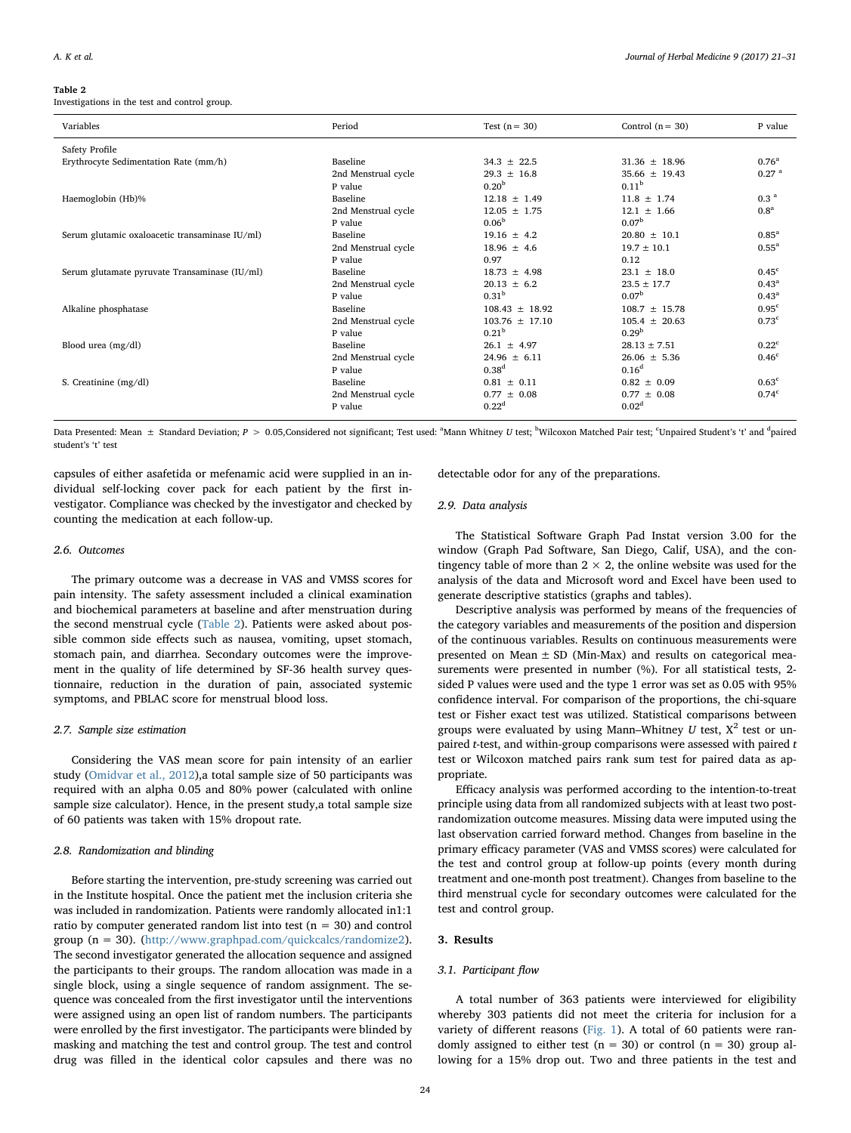#### <span id="page-3-0"></span>Table 2

Investigations in the test and control group.

| Variables                                      | Period              | Test $(n = 30)$    | Control $(n = 30)$ | P value             |
|------------------------------------------------|---------------------|--------------------|--------------------|---------------------|
| Safety Profile                                 |                     |                    |                    |                     |
| Erythrocyte Sedimentation Rate (mm/h)          | Baseline            | $34.3 \pm 22.5$    | $31.36 \pm 18.96$  | $0.76^{\rm a}$      |
|                                                | 2nd Menstrual cycle | $29.3 + 16.8$      | $35.66 + 19.43$    | 0.27 <sup>a</sup>   |
|                                                | P value             | 0.20 <sup>b</sup>  | 0.11 <sup>b</sup>  |                     |
| Haemoglobin (Hb)%                              | Baseline            | $12.18 \pm 1.49$   | $11.8 \pm 1.74$    | 0.3 <sup>a</sup>    |
|                                                | 2nd Menstrual cycle | $12.05 \pm 1.75$   | $12.1 \pm 1.66$    | 0.8 <sup>a</sup>    |
|                                                | P value             | 0.06 <sup>b</sup>  | 0.07 <sup>b</sup>  |                     |
| Serum glutamic oxaloacetic transaminase IU/ml) | Baseline            | $19.16 \pm 4.2$    | $20.80 \pm 10.1$   | $0.85$ <sup>a</sup> |
|                                                | 2nd Menstrual cycle | $18.96 \pm 4.6$    | $19.7 \pm 10.1$    | $0.55^a$            |
|                                                | P value             | 0.97               | 0.12               |                     |
| Serum glutamate pyruvate Transaminase (IU/ml)  | Baseline            | $18.73 \pm 4.98$   | $23.1 \pm 18.0$    | 0.45 <sup>c</sup>   |
|                                                | 2nd Menstrual cycle | $20.13 \pm 6.2$    | $23.5 + 17.7$      | $0.43^{\rm a}$      |
|                                                | P value             | 0.31 <sup>b</sup>  | 0.07 <sup>b</sup>  | $0.43^{\rm a}$      |
| Alkaline phosphatase                           | <b>Baseline</b>     | $108.43 \pm 18.92$ | $108.7 + 15.78$    | 0.95 <sup>c</sup>   |
|                                                | 2nd Menstrual cycle | $103.76 + 17.10$   | $105.4 + 20.63$    | $0.73^{\circ}$      |
|                                                | P value             | 0.21 <sup>b</sup>  | 0.29 <sup>b</sup>  |                     |
| Blood urea (mg/dl)                             | <b>Baseline</b>     | $26.1 \pm 4.97$    | $28.13 \pm 7.51$   | $0.22^{\circ}$      |
|                                                | 2nd Menstrual cycle | $24.96 \pm 6.11$   | $26.06 \pm 5.36$   | 0.46 <sup>c</sup>   |
|                                                | P value             | 0.38 <sup>d</sup>  | 0.16 <sup>d</sup>  |                     |
| S. Creatinine (mg/dl)                          | Baseline            | $0.81 \pm 0.11$    | $0.82 \pm 0.09$    | 0.63 <sup>c</sup>   |
|                                                | 2nd Menstrual cycle | $0.77 \pm 0.08$    | $0.77 + 0.08$      | 0.74 <sup>c</sup>   |
|                                                | P value             | 0.22 <sup>d</sup>  | 0.02 <sup>d</sup>  |                     |

Data Presented: Mean ± Standard Deviation; P > 0.05,Considered not significant; Test used: <sup>a</sup>Mann Whitney U test; <sup>b</sup>Wilcoxon Matched Pair test; <sup>c</sup>Unpaired Student's 't' and <sup>d</sup>paired student's 't' test

capsules of either asafetida or mefenamic acid were supplied in an individual self-locking cover pack for each patient by the first investigator. Compliance was checked by the investigator and checked by counting the medication at each follow-up.

#### 2.6. Outcomes

The primary outcome was a decrease in VAS and VMSS scores for pain intensity. The safety assessment included a clinical examination and biochemical parameters at baseline and after menstruation during the second menstrual cycle [\(Table 2](#page-3-0)). Patients were asked about possible common side effects such as nausea, vomiting, upset stomach, stomach pain, and diarrhea. Secondary outcomes were the improvement in the quality of life determined by SF-36 health survey questionnaire, reduction in the duration of pain, associated systemic symptoms, and PBLAC score for menstrual blood loss.

### 2.7. Sample size estimation

Considering the VAS mean score for pain intensity of an earlier study [\(Omidvar et al., 2012](#page-10-18)),a total sample size of 50 participants was required with an alpha 0.05 and 80% power (calculated with online sample size calculator). Hence, in the present study,a total sample size of 60 patients was taken with 15% dropout rate.

#### 2.8. Randomization and blinding

Before starting the intervention, pre-study screening was carried out in the Institute hospital. Once the patient met the inclusion criteria she was included in randomization. Patients were randomly allocated in1:1 ratio by computer generated random list into test ( $n = 30$ ) and control group (n = 30). (<http://www.graphpad.com/quickcalcs/randomize2>). The second investigator generated the allocation sequence and assigned the participants to their groups. The random allocation was made in a single block, using a single sequence of random assignment. The sequence was concealed from the first investigator until the interventions were assigned using an open list of random numbers. The participants were enrolled by the first investigator. The participants were blinded by masking and matching the test and control group. The test and control drug was filled in the identical color capsules and there was no detectable odor for any of the preparations.

### 2.9. Data analysis

The Statistical Software Graph Pad Instat version 3.00 for the window (Graph Pad Software, San Diego, Calif, USA), and the contingency table of more than  $2 \times 2$ , the online website was used for the analysis of the data and Microsoft word and Excel have been used to generate descriptive statistics (graphs and tables).

Descriptive analysis was performed by means of the frequencies of the category variables and measurements of the position and dispersion of the continuous variables. Results on continuous measurements were presented on Mean ± SD (Min-Max) and results on categorical measurements were presented in number (%). For all statistical tests, 2 sided P values were used and the type 1 error was set as 0.05 with 95% confidence interval. For comparison of the proportions, the chi-square test or Fisher exact test was utilized. Statistical comparisons between groups were evaluated by using Mann-Whitney  $U$  test,  $X^2$  test or unpaired  $t$ -test, and within-group comparisons were assessed with paired  $t$ test or Wilcoxon matched pairs rank sum test for paired data as appropriate.

Efficacy analysis was performed according to the intention-to-treat principle using data from all randomized subjects with at least two postrandomization outcome measures. Missing data were imputed using the last observation carried forward method. Changes from baseline in the primary efficacy parameter (VAS and VMSS scores) were calculated for the test and control group at follow-up points (every month during treatment and one-month post treatment). Changes from baseline to the third menstrual cycle for secondary outcomes were calculated for the test and control group.

### 3. Results

### 3.1. Participant flow

A total number of 363 patients were interviewed for eligibility whereby 303 patients did not meet the criteria for inclusion for a variety of different reasons [\(Fig. 1](#page-4-0)). A total of 60 patients were randomly assigned to either test ( $n = 30$ ) or control ( $n = 30$ ) group allowing for a 15% drop out. Two and three patients in the test and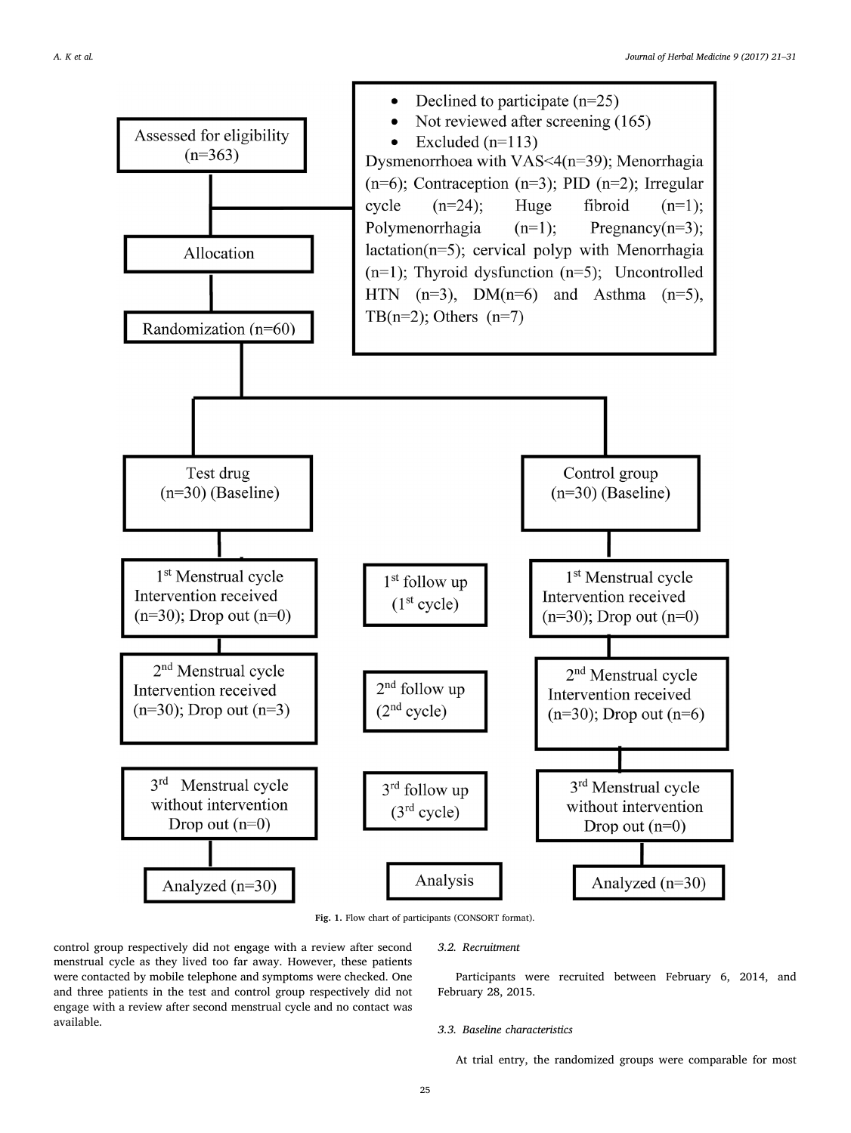<span id="page-4-0"></span>

Fig. 1. Flow chart of participants (CONSORT format).

control group respectively did not engage with a review after second menstrual cycle as they lived too far away. However, these patients were contacted by mobile telephone and symptoms were checked. One and three patients in the test and control group respectively did not engage with a review after second menstrual cycle and no contact was available.

3.2. Recruitment

Participants were recruited between February 6, 2014, and February 28, 2015.

### 3.3. Baseline characteristics

At trial entry, the randomized groups were comparable for most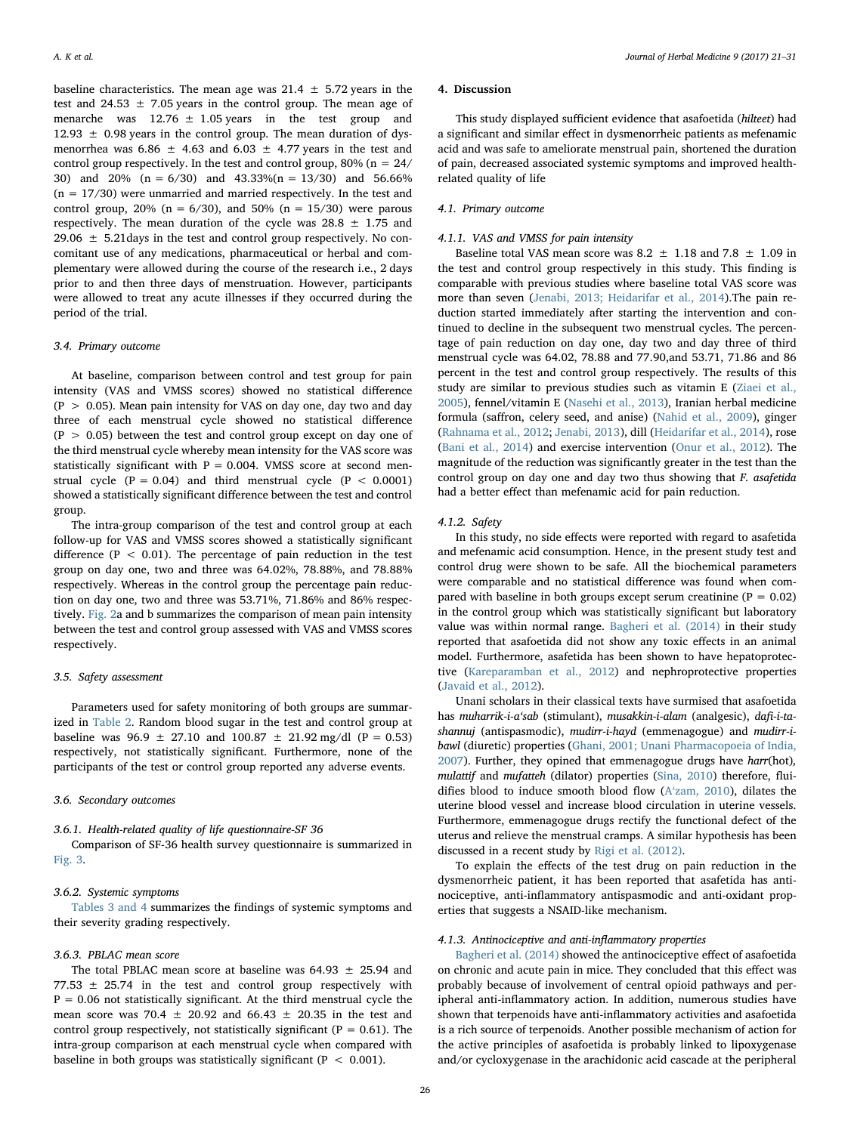baseline characteristics. The mean age was  $21.4 \pm 5.72$  years in the test and 24.53  $\pm$  7.05 years in the control group. The mean age of menarche was  $12.76 \pm 1.05$  years in the test group and 12.93  $\pm$  0.98 years in the control group. The mean duration of dysmenorrhea was  $6.86 \pm 4.63$  and  $6.03 \pm 4.77$  years in the test and control group respectively. In the test and control group,  $80\%$  (n =  $24/$ 30) and 20% (n = 6/30) and 43.33%(n = 13/30) and 56.66%  $(n = 17/30)$  were unmarried and married respectively. In the test and control group, 20% ( $n = 6/30$ ), and 50% ( $n = 15/30$ ) were parous respectively. The mean duration of the cycle was  $28.8 \pm 1.75$  and 29.06  $\pm$  5.21 days in the test and control group respectively. No concomitant use of any medications, pharmaceutical or herbal and complementary were allowed during the course of the research i.e., 2 days prior to and then three days of menstruation. However, participants were allowed to treat any acute illnesses if they occurred during the period of the trial.

#### 3.4. Primary outcome

At baseline, comparison between control and test group for pain intensity (VAS and VMSS scores) showed no statistical difference  $(P > 0.05)$ . Mean pain intensity for VAS on day one, day two and day three of each menstrual cycle showed no statistical difference  $(P > 0.05)$  between the test and control group except on day one of the third menstrual cycle whereby mean intensity for the VAS score was statistically significant with  $P = 0.004$ . VMSS score at second menstrual cycle  $(P = 0.04)$  and third menstrual cycle  $(P < 0.0001)$ showed a statistically significant difference between the test and control group.

The intra-group comparison of the test and control group at each follow-up for VAS and VMSS scores showed a statistically significant difference ( $P < 0.01$ ). The percentage of pain reduction in the test group on day one, two and three was 64.02%, 78.88%, and 78.88% respectively. Whereas in the control group the percentage pain reduction on day one, two and three was 53.71%, 71.86% and 86% respectively. [Fig. 2a](#page-6-0) and b summarizes the comparison of mean pain intensity between the test and control group assessed with VAS and VMSS scores respectively.

#### 3.5. Safety assessment

Parameters used for safety monitoring of both groups are summarized in [Table 2](#page-3-0). Random blood sugar in the test and control group at baseline was  $96.9 \pm 27.10$  and  $100.87 \pm 21.92$  mg/dl (P = 0.53) respectively, not statistically significant. Furthermore, none of the participants of the test or control group reported any adverse events.

### 3.6. Secondary outcomes

### 3.6.1. Health-related quality of life questionnaire-SF 36

Comparison of SF-36 health survey questionnaire is summarized in [Fig. 3.](#page-7-0)

#### 3.6.2. Systemic symptoms

[Tables 3 and 4](#page-8-0) summarizes the findings of systemic symptoms and their severity grading respectively.

#### 3.6.3. PBLAC mean score

The total PBLAC mean score at baseline was  $64.93 \pm 25.94$  and 77.53  $\pm$  25.74 in the test and control group respectively with  $P = 0.06$  not statistically significant. At the third menstrual cycle the mean score was 70.4  $\pm$  20.92 and 66.43  $\pm$  20.35 in the test and control group respectively, not statistically significant ( $P = 0.61$ ). The intra-group comparison at each menstrual cycle when compared with baseline in both groups was statistically significant ( $P < 0.001$ ).

#### 4. Discussion

This study displayed sufficient evidence that asafoetida (hilteet) had a significant and similar effect in dysmenorrheic patients as mefenamic acid and was safe to ameliorate menstrual pain, shortened the duration of pain, decreased associated systemic symptoms and improved healthrelated quality of life

### 4.1. Primary outcome

### 4.1.1. VAS and VMSS for pain intensity

Baseline total VAS mean score was  $8.2 \pm 1.18$  and  $7.8 \pm 1.09$  in the test and control group respectively in this study. This finding is comparable with previous studies where baseline total VAS score was more than seven [\(Jenabi, 2013; Heidarifar et al., 2014](#page-9-10)).The pain reduction started immediately after starting the intervention and continued to decline in the subsequent two menstrual cycles. The percentage of pain reduction on day one, day two and day three of third menstrual cycle was 64.02, 78.88 and 77.90,and 53.71, 71.86 and 86 percent in the test and control group respectively. The results of this study are similar to previous studies such as vitamin E ([Ziaei et al.,](#page-10-19) [2005\)](#page-10-19), fennel/vitamin E ([Nasehi et al., 2013\)](#page-10-14), Iranian herbal medicine formula (saffron, celery seed, and anise) [\(Nahid et al., 2009\)](#page-10-5), ginger ([Rahnama et al., 2012](#page-10-6); [Jenabi, 2013](#page-9-10)), dill [\(Heidarifar et al., 2014\)](#page-9-8), rose ([Bani et al., 2014](#page-9-7)) and exercise intervention [\(Onur et al., 2012](#page-10-4)). The magnitude of the reduction was significantly greater in the test than the control group on day one and day two thus showing that F. asafetida had a better effect than mefenamic acid for pain reduction.

### 4.1.2. Safety

In this study, no side effects were reported with regard to asafetida and mefenamic acid consumption. Hence, in the present study test and control drug were shown to be safe. All the biochemical parameters were comparable and no statistical difference was found when compared with baseline in both groups except serum creatinine ( $P = 0.02$ ) in the control group which was statistically significant but laboratory value was within normal range. [Bagheri et al. \(2014\)](#page-9-5) in their study reported that asafoetida did not show any toxic effects in an animal model. Furthermore, asafetida has been shown to have hepatoprotective ([Kareparamban et al., 2012](#page-10-20)) and nephroprotective properties ([Javaid et al., 2012](#page-9-11)).

Unani scholars in their classical texts have surmised that asafoetida has muharrik-i-a'sab (stimulant), musakkin-i-alam (analgesic), dafi-i-tashannuj (antispasmodic), mudirr-i-hayd (emmenagogue) and mudirr-ibawl (diuretic) properties ([Ghani, 2001; Unani Pharmacopoeia of India,](#page-9-12) [2007\)](#page-9-12). Further, they opined that emmenagogue drugs have harr(hot), mulattif and mufatteh (dilator) properties [\(Sina, 2010](#page-10-3)) therefore, fluidifies blood to induce smooth blood flow (A'[zam, 2010](#page-9-13)), dilates the uterine blood vessel and increase blood circulation in uterine vessels. Furthermore, emmenagogue drugs rectify the functional defect of the uterus and relieve the menstrual cramps. A similar hypothesis has been discussed in a recent study by [Rigi et al. \(2012\).](#page-10-21)

To explain the effects of the test drug on pain reduction in the dysmenorrheic patient, it has been reported that asafetida has antinociceptive, anti-inflammatory antispasmodic and anti-oxidant properties that suggests a NSAID-like mechanism.

### 4.1.3. Antinociceptive and anti-inflammatory properties

[Bagheri et al. \(2014\)](#page-9-5) showed the antinociceptive effect of asafoetida on chronic and acute pain in mice. They concluded that this effect was probably because of involvement of central opioid pathways and peripheral anti-inflammatory action. In addition, numerous studies have shown that terpenoids have anti-inflammatory activities and asafoetida is a rich source of terpenoids. Another possible mechanism of action for the active principles of asafoetida is probably linked to lipoxygenase and/or cycloxygenase in the arachidonic acid cascade at the peripheral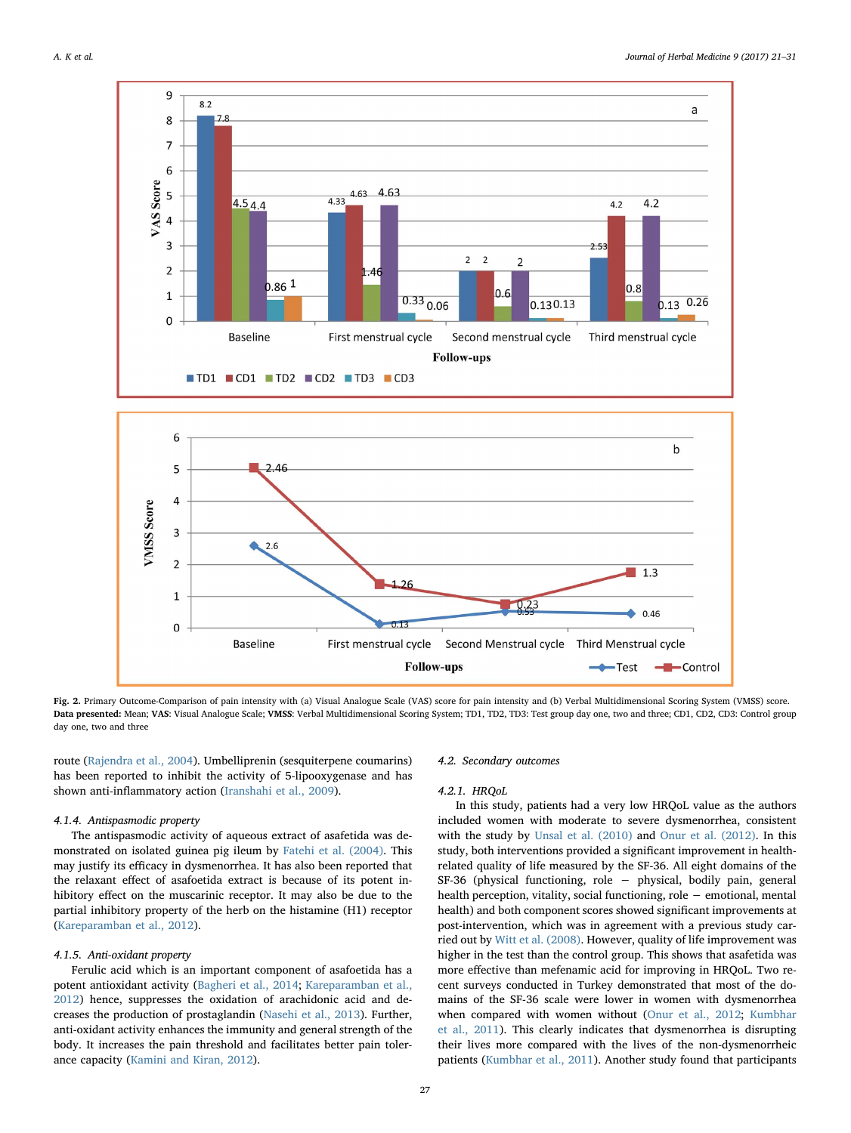<span id="page-6-0"></span>



Fig. 2. Primary Outcome-Comparison of pain intensity with (a) Visual Analogue Scale (VAS) score for pain intensity and (b) Verbal Multidimensional Scoring System (VMSS) score. Data presented: Mean; VAS: Visual Analogue Scale; VMSS: Verbal Multidimensional Scoring System; TD1, TD2, TD3: Test group day one, two and three; CD1, CD2, CD3: Control group day one, two and three

route [\(Rajendra et al., 2004](#page-10-22)). Umbelliprenin (sesquiterpene coumarins) has been reported to inhibit the activity of 5-lipooxygenase and has shown anti-inflammatory action [\(Iranshahi et al., 2009\)](#page-9-14).

### 4.1.4. Antispasmodic property

The antispasmodic activity of aqueous extract of asafetida was demonstrated on isolated guinea pig ileum by [Fatehi et al. \(2004\)](#page-9-6). This may justify its efficacy in dysmenorrhea. It has also been reported that the relaxant effect of asafoetida extract is because of its potent inhibitory effect on the muscarinic receptor. It may also be due to the partial inhibitory property of the herb on the histamine (H1) receptor ([Kareparamban et al., 2012\)](#page-10-20).

### 4.1.5. Anti-oxidant property

Ferulic acid which is an important component of asafoetida has a potent antioxidant activity [\(Bagheri et al., 2014](#page-9-5); [Kareparamban et al.,](#page-10-20) [2012\)](#page-10-20) hence, suppresses the oxidation of arachidonic acid and decreases the production of prostaglandin ([Nasehi et al., 2013](#page-10-14)). Further, anti-oxidant activity enhances the immunity and general strength of the body. It increases the pain threshold and facilitates better pain tolerance capacity [\(Kamini and Kiran, 2012](#page-9-2)).

#### 4.2. Secondary outcomes

#### 4.2.1. HRQoL

In this study, patients had a very low HRQoL value as the authors included women with moderate to severe dysmenorrhea, consistent with the study by [Unsal et al. \(2010\)](#page-10-16) and [Onur et al. \(2012\)](#page-10-4). In this study, both interventions provided a significant improvement in healthrelated quality of life measured by the SF-36. All eight domains of the SF-36 (physical functioning, role − physical, bodily pain, general health perception, vitality, social functioning, role − emotional, mental health) and both component scores showed significant improvements at post-intervention, which was in agreement with a previous study carried out by [Witt et al. \(2008\).](#page-10-23) However, quality of life improvement was higher in the test than the control group. This shows that asafetida was more effective than mefenamic acid for improving in HRQoL. Two recent surveys conducted in Turkey demonstrated that most of the domains of the SF-36 scale were lower in women with dysmenorrhea when compared with women without [\(Onur et al., 2012;](#page-10-4) [Kumbhar](#page-10-24) [et al., 2011\)](#page-10-24). This clearly indicates that dysmenorrhea is disrupting their lives more compared with the lives of the non-dysmenorrheic patients [\(Kumbhar et al., 2011\)](#page-10-24). Another study found that participants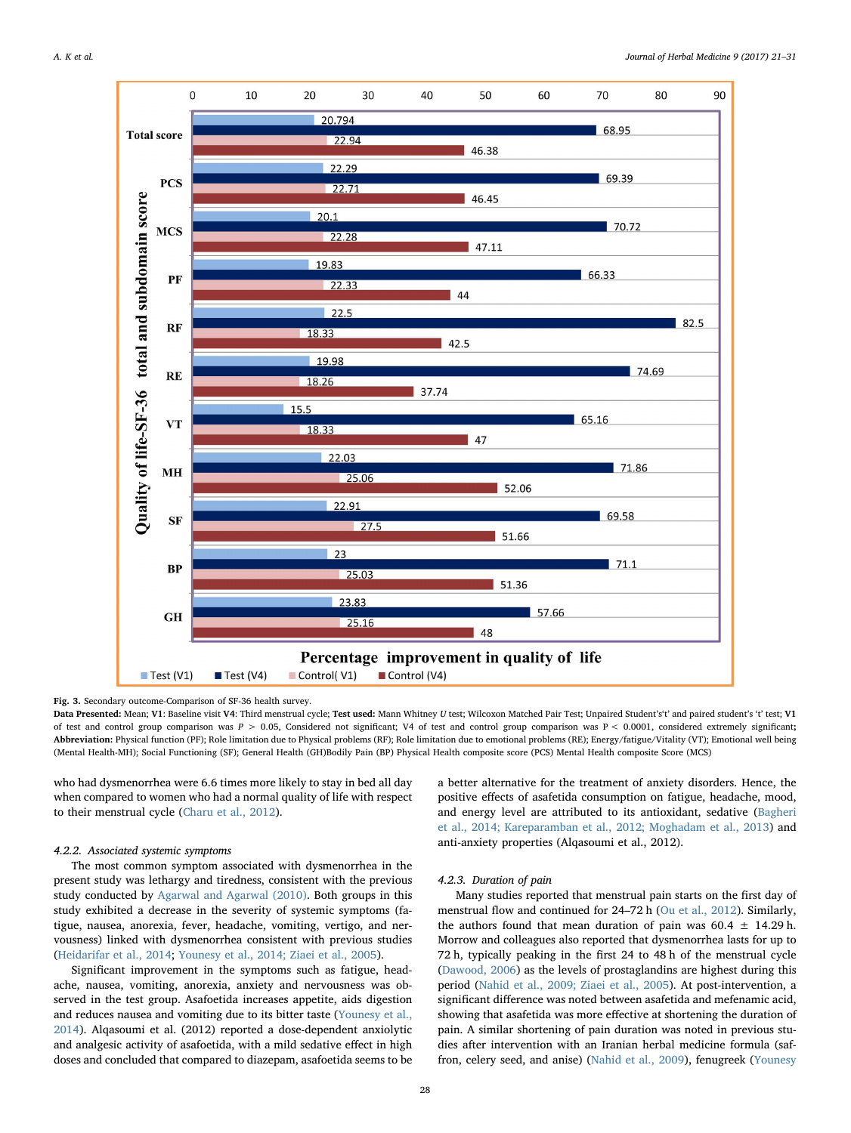<span id="page-7-0"></span>

Fig. 3. Secondary outcome-Comparison of SF-36 health survey.

Data Presented: Mean; V1: Baseline visit V4: Third menstrual cycle; Test used: Mann Whitney U test; Wilcoxon Matched Pair Test; Unpaired Student's't' and paired student's 't' test; V1 of test and control group comparison was  $P > 0.05$ , Considered not significant; V4 of test and control group comparison was  $P < 0.0001$ , considered extremely significant; Abbreviation: Physical function (PF); Role limitation due to Physical problems (RF); Role limitation due to emotional problems (RE); Energy/fatigue/Vitality (VT); Emotional well being (Mental Health-MH); Social Functioning (SF); General Health (GH)Bodily Pain (BP) Physical Health composite score (PCS) Mental Health composite Score (MCS)

who had dysmenorrhea were 6.6 times more likely to stay in bed all day when compared to women who had a normal quality of life with respect to their menstrual cycle [\(Charu et al., 2012\)](#page-9-15).

### 4.2.2. Associated systemic symptoms

The most common symptom associated with dysmenorrhea in the present study was lethargy and tiredness, consistent with the previous study conducted by [Agarwal and Agarwal \(2010\).](#page-9-16) Both groups in this study exhibited a decrease in the severity of systemic symptoms (fatigue, nausea, anorexia, fever, headache, vomiting, vertigo, and nervousness) linked with dysmenorrhea consistent with previous studies ([Heidarifar et al., 2014](#page-9-8); [Younesy et al., 2014; Ziaei et al., 2005\)](#page-10-0).

Significant improvement in the symptoms such as fatigue, headache, nausea, vomiting, anorexia, anxiety and nervousness was observed in the test group. Asafoetida increases appetite, aids digestion and reduces nausea and vomiting due to its bitter taste ([Younesy et al.,](#page-10-0) [2014\)](#page-10-0). Alqasoumi et al. (2012) reported a dose-dependent anxiolytic and analgesic activity of asafoetida, with a mild sedative effect in high doses and concluded that compared to diazepam, asafoetida seems to be a better alternative for the treatment of anxiety disorders. Hence, the positive effects of asafetida consumption on fatigue, headache, mood, and energy level are attributed to its antioxidant, sedative ([Bagheri](#page-9-5) [et al., 2014; Kareparamban et al., 2012; Moghadam et al., 2013\)](#page-9-5) and anti-anxiety properties (Alqasoumi et al., 2012).

## 4.2.3. Duration of pain

Many studies reported that menstrual pain starts on the first day of menstrual flow and continued for 24–72 h [\(Ou et al., 2012\)](#page-10-10). Similarly, the authors found that mean duration of pain was  $60.4 \pm 14.29$  h. Morrow and colleagues also reported that dysmenorrhea lasts for up to 72 h, typically peaking in the first 24 to 48 h of the menstrual cycle ([Dawood, 2006](#page-9-17)) as the levels of prostaglandins are highest during this period [\(Nahid et al., 2009; Ziaei et al., 2005](#page-10-5)). At post-intervention, a significant difference was noted between asafetida and mefenamic acid, showing that asafetida was more effective at shortening the duration of pain. A similar shortening of pain duration was noted in previous studies after intervention with an Iranian herbal medicine formula (saffron, celery seed, and anise) ([Nahid et al., 2009](#page-10-5)), fenugreek ([Younesy](#page-10-0)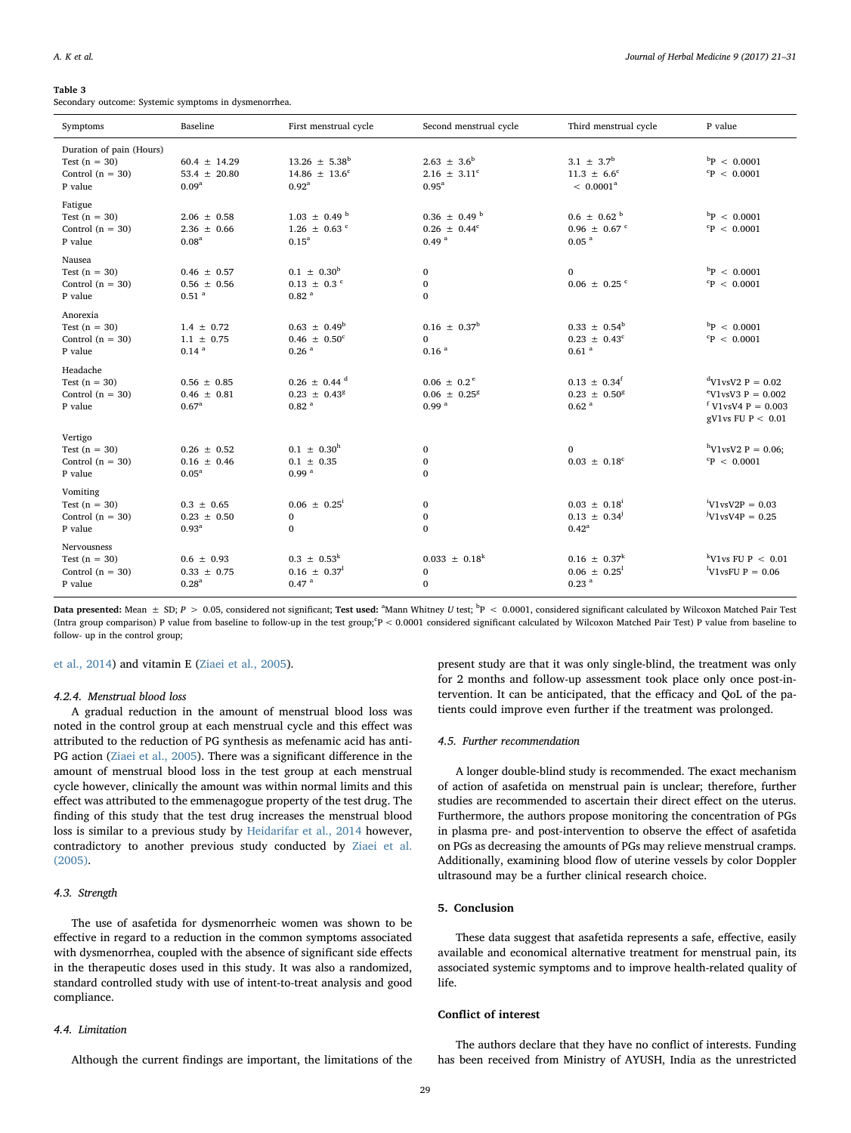#### <span id="page-8-0"></span>Table 3

Secondary outcome: Systemic symptoms in dysmenorrhea.

| Symptoms                                                                     | Baseline                                                  | First menstrual cycle                                                      | Second menstrual cycle                                                | Third menstrual cycle                                                 | P value                                                                                                  |
|------------------------------------------------------------------------------|-----------------------------------------------------------|----------------------------------------------------------------------------|-----------------------------------------------------------------------|-----------------------------------------------------------------------|----------------------------------------------------------------------------------------------------------|
| Duration of pain (Hours)<br>Test $(n = 30)$<br>Control $(n = 30)$<br>P value | $60.4 \pm 14.29$<br>53.4 $\pm$ 20.80<br>0.09 <sup>a</sup> | $13.26 \pm 5.38^b$<br>$14.86 \pm 13.6^c$<br>$0.92^{\rm a}$                 | $2.63 \pm 3.6^b$<br>$2.16 \pm 3.11^c$<br>$0.95^{\rm a}$               | $3.1 \pm 3.7^b$<br>$11.3 \pm 6.6^{\circ}$<br>$< 0.0001^a$             | $\rm ^{b}P$ < 0.0001<br>${}^{c}P$ < 0.0001                                                               |
| Fatigue<br>Test $(n = 30)$<br>Control $(n = 30)$<br>P value                  | $2.06 \pm 0.58$<br>$2.36 \pm 0.66$<br>0.08 <sup>a</sup>   | $1.03 \pm 0.49$ <sup>b</sup><br>$1.26 \pm 0.63$ c<br>0.15 <sup>a</sup>     | $0.36 \pm 0.49^{\text{ b}}$<br>$0.26 \pm 0.44^c$<br>0.49 <sup>a</sup> | $0.6 \pm 0.62^{\text{b}}$<br>$0.96 \pm 0.67$ c<br>$0.05$ <sup>a</sup> | $^{b}P$ < 0.0001<br>${}^{c}P$ < 0.0001                                                                   |
| Nausea<br>Test $(n = 30)$<br>Control $(n = 30)$<br>P value                   | $0.46 \pm 0.57$<br>$0.56 \pm 0.56$<br>$0.51$ <sup>a</sup> | $0.1 \pm 0.30^{\rm b}$<br>$0.13 \pm 0.3$ <sup>c</sup><br>0.82 <sup>a</sup> | $\bf{0}$<br>$\bf{0}$<br>$\mathbf{0}$                                  | $\Omega$<br>$0.06 \pm 0.25$ °                                         | $^{b}P$ < 0.0001<br>${}^{c}P$ < 0.0001                                                                   |
| Anorexia<br>Test $(n = 30)$<br>Control $(n = 30)$<br>P value                 | $1.4 \pm 0.72$<br>$1.1 \pm 0.75$<br>0.14 <sup>a</sup>     | $0.63 \pm 0.49^b$<br>$0.46 \pm 0.50^{\circ}$<br>0.26 <sup>a</sup>          | $0.16 \pm 0.37^{\rm b}$<br>$\mathbf{0}$<br>0.16 <sup>a</sup>          | $0.33 \pm 0.54^b$<br>$0.23 \pm 0.43^c$<br>$0.61$ <sup>a</sup>         | $^{b}P$ < 0.0001<br>${}^{c}P$ < 0.0001                                                                   |
| Headache<br>Test $(n = 30)$<br>Control $(n = 30)$<br>P value                 | $0.56 \pm 0.85$<br>$0.46 \pm 0.81$<br>$0.67^{\rm a}$      | $0.26 \pm 0.44$ <sup>d</sup><br>$0.23 \pm 0.43^8$<br>0.82 <sup>a</sup>     | $0.06 \pm 0.2$ <sup>e</sup><br>$0.06 \pm 0.25^8$<br>0.99 <sup>a</sup> | $0.13 \pm 0.34^f$<br>$0.23 \pm 0.50^8$<br>0.62 <sup>a</sup>           | $dV1vsV2 P = 0.02$<br>$\mathrm{^{\circ}V1}$ vsV3 P = 0.002<br>$V1$ vsV4 P = 0.003<br>gV1vs FU $P < 0.01$ |
| Vertigo<br>Test $(n = 30)$<br>Control $(n = 30)$<br>P value                  | $0.26 \pm 0.52$<br>$0.16 \pm 0.46$<br>0.05 <sup>a</sup>   | $0.1 \pm 0.30^{\rm h}$<br>$0.1 \pm 0.35$<br>0.99 <sup>a</sup>              | 0<br>$\bf{0}$<br>$\mathbf{0}$                                         | $\Omega$<br>$0.03 \pm 0.18^c$                                         | $h$ V1vsV2 P = 0.06;<br>${}^{c}P$ < 0.0001                                                               |
| Vomiting<br>Test $(n = 30)$<br>Control $(n = 30)$<br>P value                 | $0.3 \pm 0.65$<br>$0.23 \pm 0.50$<br>0.93 <sup>a</sup>    | $0.06 \pm 0.25^{\mathrm{i}}$<br>$\bf{0}$<br>$\mathbf{0}$                   | 0<br>$\bf{0}$<br>$\mathbf{0}$                                         | $0.03 \pm 0.18^i$<br>$0.13 \pm 0.34^{\circ}$<br>$0.42^{\rm a}$        | $V1$ <sub>V</sub> sV <sub>2P</sub> = 0.03<br>$V1vsV4P = 0.25$                                            |
| Nervousness<br>Test $(n = 30)$<br>Control $(n = 30)$<br>P value              | $0.6 \pm 0.93$<br>$0.33 \pm 0.75$<br>0.28 <sup>a</sup>    | $0.3 \pm 0.53^k$<br>$0.16 \pm 0.37^1$<br>$0.47$ <sup>a</sup>               | $0.033 \pm 0.18^k$<br>$\bf{0}$<br>$\mathbf{0}$                        | $0.16 \pm 0.37^k$<br>$0.06 \pm 0.25^1$<br>$0.23$ <sup>a</sup>         | <sup>k</sup> V1vs FU P $\leq$ 0.01<br><sup>1</sup> V <sub>1</sub> v <sub>sFU</sub> $P = 0.06$            |

Data presented: Mean  $\pm$  SD;  $P > 0.05$ , considered not significant; Test used:  ${}^{a}$ Mann Whitney U test;  ${}^{b}P < 0.0001$ , considered significant calculated by Wilcoxon Matched Pair Test (Intra group comparison) P value from baseline to follow-up in the test group;<sup>c</sup>P < 0.0001 considered significant calculated by Wilcoxon Matched Pair Test) P value from baseline to follow- up in the control group;

[et al., 2014](#page-10-0)) and vitamin E ([Ziaei et al., 2005\)](#page-10-19).

#### 4.2.4. Menstrual blood loss

A gradual reduction in the amount of menstrual blood loss was noted in the control group at each menstrual cycle and this effect was attributed to the reduction of PG synthesis as mefenamic acid has anti-PG action ([Ziaei et al., 2005\)](#page-10-19). There was a significant difference in the amount of menstrual blood loss in the test group at each menstrual cycle however, clinically the amount was within normal limits and this effect was attributed to the emmenagogue property of the test drug. The finding of this study that the test drug increases the menstrual blood loss is similar to a previous study by [Heidarifar et al., 2014](#page-9-8) however, contradictory to another previous study conducted by [Ziaei et al.](#page-10-19) [\(2005\).](#page-10-19)

### 4.3. Strength

The use of asafetida for dysmenorrheic women was shown to be effective in regard to a reduction in the common symptoms associated with dysmenorrhea, coupled with the absence of significant side effects in the therapeutic doses used in this study. It was also a randomized, standard controlled study with use of intent-to-treat analysis and good compliance.

#### 4.4. Limitation

Although the current findings are important, the limitations of the

present study are that it was only single-blind, the treatment was only for 2 months and follow-up assessment took place only once post-intervention. It can be anticipated, that the efficacy and QoL of the patients could improve even further if the treatment was prolonged.

### 4.5. Further recommendation

A longer double-blind study is recommended. The exact mechanism of action of asafetida on menstrual pain is unclear; therefore, further studies are recommended to ascertain their direct effect on the uterus. Furthermore, the authors propose monitoring the concentration of PGs in plasma pre- and post-intervention to observe the effect of asafetida on PGs as decreasing the amounts of PGs may relieve menstrual cramps. Additionally, examining blood flow of uterine vessels by color Doppler ultrasound may be a further clinical research choice.

### 5. Conclusion

These data suggest that asafetida represents a safe, effective, easily available and economical alternative treatment for menstrual pain, its associated systemic symptoms and to improve health-related quality of life.

### Conflict of interest

The authors declare that they have no conflict of interests. Funding has been received from Ministry of AYUSH, India as the unrestricted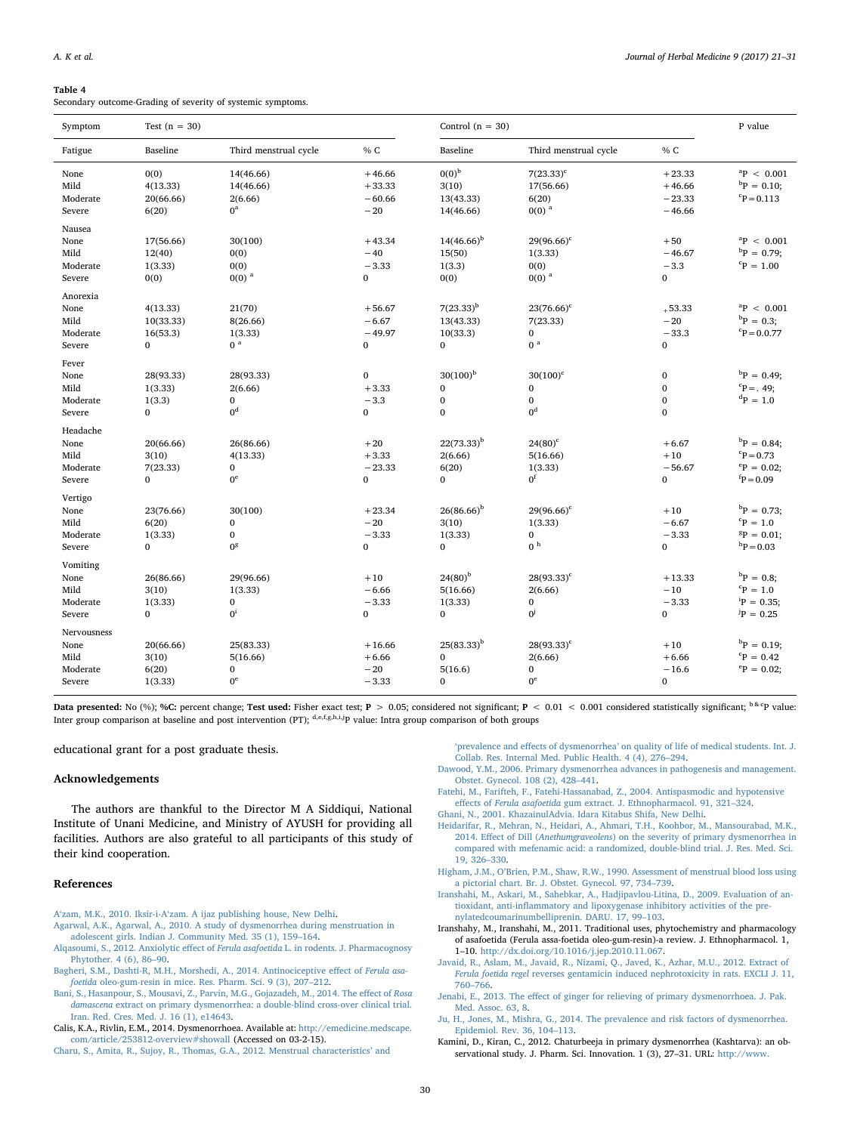#### Table 4

Secondary outcome-Grading of severity of systemic symptoms.

| Symptom                                           | Test $(n = 30)$                                   |                                                        | Control $(n = 30)$                              |                                                              |                                                           | P value                                             |                                                                                       |
|---------------------------------------------------|---------------------------------------------------|--------------------------------------------------------|-------------------------------------------------|--------------------------------------------------------------|-----------------------------------------------------------|-----------------------------------------------------|---------------------------------------------------------------------------------------|
| Fatigue                                           | Baseline                                          | Third menstrual cycle                                  | % C                                             | Baseline                                                     | Third menstrual cycle                                     | % C                                                 |                                                                                       |
| None<br>Mild<br>Moderate<br>Severe                | 0(0)<br>4(13.33)<br>20(66.66)<br>6(20)            | 14(46.66)<br>14(46.66)<br>2(6.66)<br>$0^a$             | $+46.66$<br>$+33.33$<br>$-60.66$<br>$-20$       | 0(0) <sup>b</sup><br>3(10)<br>13(43.33)<br>14(46.66)         | $7(23.33)^c$<br>17(56.66)<br>6(20)<br>$0(0)$ <sup>a</sup> | $+23.33$<br>$+46.66$<br>$-23.33$<br>$-46.66$        | ${}^{a}P$ < 0.001<br>${}^{\rm b}P = 0.10;$<br>$P = 0.113$                             |
| Nausea<br>None<br>Mild<br>Moderate<br>Severe      | 17(56.66)<br>12(40)<br>1(3.33)<br>0(0)            | 30(100)<br>0(0)<br>0(0)<br>$0(0)$ <sup>a</sup>         | $+43.34$<br>$-40$<br>$-3.33$<br>$\mathbf{0}$    | $14(46.66)^{b}$<br>15(50)<br>1(3.3)<br>0(0)                  | $29(96.66)^c$<br>1(3.33)<br>0(0)<br>$0(0)$ <sup>a</sup>   | $+50$<br>$-46.67$<br>$-3.3$<br>$\overline{0}$       | ${}^{a}P$ < 0.001<br>${}^{b}P = 0.79$<br>${}^{c}P = 1.00$                             |
| Anorexia<br>None<br>Mild<br>Moderate<br>Severe    | 4(13.33)<br>10(33.33)<br>16(53.3)<br>$\mathbf{0}$ | 21(70)<br>8(26.66)<br>1(3.33)<br>0 <sup>a</sup>        | $+56.67$<br>$-6.67$<br>$-49.97$<br>$\mathbf{0}$ | $7(23.33)^b$<br>13(43.33)<br>10(33.3)<br>$\mathbf{0}$        | $23(76.66)^c$<br>7(23.33)<br>$\bf{0}$<br>0 <sup>a</sup>   | $+53.33$<br>$-20$<br>$-33.3$<br>0                   | ${}^{a}P$ < 0.001<br>${}^{\rm b}P = 0.3;$<br>$P = 0.0.77$                             |
| Fever<br>None<br>Mild<br>Moderate<br>Severe       | 28(93.33)<br>1(3.33)<br>1(3.3)<br>$\Omega$        | 28(93.33)<br>2(6.66)<br>$\mathbf{0}$<br>0 <sup>d</sup> | $\mathbf{0}$<br>$+3.33$<br>$-3.3$<br>0          | $30(100)^{b}$<br>$\bf{0}$<br>$\bf{0}$<br>$\mathbf{0}$        | $30(100)^c$<br>$\bf{0}$<br>$\mathbf 0$<br>0 <sup>d</sup>  | $\bf{0}$<br>$\bf{0}$<br>$\mathbf{0}$<br>$\mathbf 0$ | ${}^{b}P = 0.49$ ;<br>${}^{c}P = .49;$<br>${}^{d}P = 1.0$                             |
| Headache<br>None<br>Mild<br>Moderate<br>Severe    | 20(66.66)<br>3(10)<br>7(23.33)<br>$\mathbf{0}$    | 26(86.66)<br>4(13.33)<br>0<br>$0^{\rm e}$              | $+20$<br>$+3.33$<br>$-23.33$<br>$\bf{0}$        | $22(73.33)^{b}$<br>2(6.66)<br>6(20)<br>$\bf{0}$              | $24(80)^c$<br>5(16.66)<br>1(3.33)<br>0 <sup>f</sup>       | $+6.67$<br>$+10$<br>$-56.67$<br>$\mathbf 0$         | ${}^{b}P = 0.84$ ;<br>$P = 0.73$<br>${}^{\rm e}P = 0.02$ ;<br>${}^{\text{f}}P = 0.09$ |
| Vertigo<br>None<br>Mild<br>Moderate<br>Severe     | 23(76.66)<br>6(20)<br>1(3.33)<br>$\mathbf{0}$     | 30(100)<br>0<br>$\bf{0}$<br>0 <sup>g</sup>             | $+23.34$<br>$-20$<br>$-3.33$<br>$\mathbf{0}$    | $26(86.66)^b$<br>3(10)<br>1(3.33)<br>$\mathbf{0}$            | $29(96.66)^c$<br>1(3.33)<br>$\bf{0}$<br>0 <sup>h</sup>    | $+10$<br>$-6.67$<br>$-3.33$<br>$\mathbf 0$          | ${}^{b}P = 0.73$ ;<br>${}^cP = 1.0$<br>${}^{8}P = 0.01;$<br>${}^{\rm h}P = 0.03$      |
| Vomiting<br>None<br>Mild<br>Moderate<br>Severe    | 26(86.66)<br>3(10)<br>1(3.33)<br>$\Omega$         | 29(96.66)<br>1(3.33)<br>$\mathbf{0}$<br>$0^i$          | $+10$<br>$-6.66$<br>$-3.33$<br>$\mathbf{0}$     | $24(80)$ <sup>b</sup><br>5(16.66)<br>1(3.33)<br>$\mathbf{0}$ | $28(93.33)^c$<br>2(6.66)<br>$\mathbf 0$<br>$0^j$          | $+13.33$<br>$-10$<br>$-3.33$<br>$\mathbf 0$         | ${}^{b}P = 0.8;$<br>${}^c\!P = 1.0$<br>$^{i}P = 0.35$<br>${}^{j}P = 0.25$             |
| Nervousness<br>None<br>Mild<br>Moderate<br>Severe | 20(66.66)<br>3(10)<br>6(20)<br>1(3.33)            | 25(83.33)<br>5(16.66)<br>$\mathbf{0}$<br>$0^{\rm e}$   | $+16.66$<br>$+6.66$<br>$-20$<br>$-3.33$         | $25(83.33)^{b}$<br>$\bf{0}$<br>5(16.6)<br>$\bf{0}$           | $28(93.33)^c$<br>2(6.66)<br>$\bf{0}$<br>$0^{\rm e}$       | $+10$<br>$+6.66$<br>$-16.6$<br>$\mathbf 0$          | ${}^{b}P = 0.19;$<br>${}^{c}P = 0.42$<br>$^{\rm e}P = 0.02$ ;                         |

Data presented: No (%); %C: percent change; Test used: Fisher exact test;  $P > 0.05$ ; considered not significant;  $P < 0.01 < 0.001$  considered statistically significant;  $b^k$ P value: Inter group comparison at baseline and post intervention (PT); d,e,f,g,h,i,jp value: Intra group comparison of both groups

educational grant for a post graduate thesis.

### Acknowledgements

The authors are thankful to the Director M A Siddiqui, National Institute of Unani Medicine, and Ministry of AYUSH for providing all facilities. Authors are also grateful to all participants of this study of their kind cooperation.

### References

<span id="page-9-13"></span>A'zam, M.K., 2010. Iksir-i-A'[zam. A ijaz publishing house, New Delhi.](http://refhub.elsevier.com/S2210-8033(17)30048-9/sbref0005)

<span id="page-9-16"></span>[Agarwal, A.K., Agarwal, A., 2010. A study of dysmenorrhea during menstruation in](http://refhub.elsevier.com/S2210-8033(17)30048-9/sbref0010) [adolescent girls. Indian J. Community Med. 35 \(1\), 159](http://refhub.elsevier.com/S2210-8033(17)30048-9/sbref0010)–164.

- <span id="page-9-3"></span>[Alqasoumi, S., 2012. Anxiolytic e](http://refhub.elsevier.com/S2210-8033(17)30048-9/sbref0015)ffect of Ferula asafoetida L. in rodents. J. Pharmacognosy [Phytother. 4 \(6\), 86](http://refhub.elsevier.com/S2210-8033(17)30048-9/sbref0015)–90.
- <span id="page-9-5"></span>[Bagheri, S.M., Dashti-R, M.H., Morshedi, A., 2014. Antinociceptive e](http://refhub.elsevier.com/S2210-8033(17)30048-9/sbref0020)ffect of Ferula asafoetida [oleo-gum-resin in mice. Res. Pharm. Sci. 9 \(3\), 207](http://refhub.elsevier.com/S2210-8033(17)30048-9/sbref0020)–212.
- <span id="page-9-7"></span>[Bani, S., Hasanpour, S., Mousavi, Z., Parvin, M.G., Gojazadeh, M., 2014. The e](http://refhub.elsevier.com/S2210-8033(17)30048-9/sbref0025)ffect of Rosa damascena [extract on primary dysmenorrhea: a double-blind cross-over clinical trial.](http://refhub.elsevier.com/S2210-8033(17)30048-9/sbref0025) [Iran. Red. Cres. Med. J. 16 \(1\), e14643.](http://refhub.elsevier.com/S2210-8033(17)30048-9/sbref0025)

<span id="page-9-1"></span>Calis, K.A., Rivlin, E.M., 2014. Dysmenorrhoea. Available at: [http://emedicine.medscape.](http://emedicine.medscape.com/article/253812-overview#showall) [com/article/253812-overview#showall](http://emedicine.medscape.com/article/253812-overview#showall) (Accessed on 03-2-15).

<span id="page-9-15"></span>[Charu, S., Amita, R., Sujoy, R., Thomas, G.A., 2012. Menstrual characteristics](http://refhub.elsevier.com/S2210-8033(17)30048-9/sbref0035)' and

'prevalence and effects of dysmenorrhea' [on quality of life of medical students. Int. J.](http://refhub.elsevier.com/S2210-8033(17)30048-9/sbref0035) [Collab. Res. Internal Med. Public Health. 4 \(4\), 276](http://refhub.elsevier.com/S2210-8033(17)30048-9/sbref0035)–294.

- <span id="page-9-17"></span>[Dawood, Y.M., 2006. Primary dysmenorrhea advances in pathogenesis and management.](http://refhub.elsevier.com/S2210-8033(17)30048-9/sbref0040) [Obstet. Gynecol. 108 \(2\), 428](http://refhub.elsevier.com/S2210-8033(17)30048-9/sbref0040)–441.
- <span id="page-9-6"></span>[Fatehi, M., Farifteh, F., Fatehi-Hassanabad, Z., 2004. Antispasmodic and hypotensive](http://refhub.elsevier.com/S2210-8033(17)30048-9/sbref0045) effects of Ferula asafoetida [gum extract. J. Ethnopharmacol. 91, 321](http://refhub.elsevier.com/S2210-8033(17)30048-9/sbref0045)–324.

<span id="page-9-12"></span>[Ghani, N., 2001. KhazainulAdvia. Idara Kitabus Shifa, New Delhi.](http://refhub.elsevier.com/S2210-8033(17)30048-9/sbref0050)

- <span id="page-9-8"></span>[Heidarifar, R., Mehran, N., Heidari, A., Ahmari, T.H., Koohbor, M., Mansourabad, M.K.,](http://refhub.elsevier.com/S2210-8033(17)30048-9/sbref0055) 2014. Effect of Dill (Anethumgraveolens[\) on the severity of primary dysmenorrhea in](http://refhub.elsevier.com/S2210-8033(17)30048-9/sbref0055) [compared with mefenamic acid: a randomized, double-blind trial. J. Res. Med. Sci.](http://refhub.elsevier.com/S2210-8033(17)30048-9/sbref0055) [19, 326](http://refhub.elsevier.com/S2210-8033(17)30048-9/sbref0055)–330.
- <span id="page-9-9"></span>Higham, J.M., O'[Brien, P.M., Shaw, R.W., 1990. Assessment of menstrual blood loss using](http://refhub.elsevier.com/S2210-8033(17)30048-9/sbref0060) [a pictorial chart. Br. J. Obstet. Gynecol. 97, 734](http://refhub.elsevier.com/S2210-8033(17)30048-9/sbref0060)–739.
- <span id="page-9-14"></span>[Iranshahi, M., Askari, M., Sahebkar, A., Hadjipavlou-Litina, D., 2009. Evaluation of an](http://refhub.elsevier.com/S2210-8033(17)30048-9/sbref0065)tioxidant, anti-infl[ammatory and lipoxygenase inhibitory activities of the pre](http://refhub.elsevier.com/S2210-8033(17)30048-9/sbref0065)[nylatedcoumarinumbelliprenin. DARU. 17, 99](http://refhub.elsevier.com/S2210-8033(17)30048-9/sbref0065)–103.
- <span id="page-9-4"></span>Iranshahy, M., Iranshahi, M., 2011. Traditional uses, phytochemistry and pharmacology of asafoetida (Ferula assa-foetida oleo-gum-resin)-a review. J. Ethnopharmacol. 1, 1–10. <http://dx.doi.org/10.1016/j.jep.2010.11.067>.
- <span id="page-9-11"></span>Javaid, [R., Aslam, M., Javaid, R., Nizami, Q., Javed, K., Azhar, M.U., 2012. Extract of](http://refhub.elsevier.com/S2210-8033(17)30048-9/sbref0075) Ferula foetida regel [reverses gentamicin induced nephrotoxicity in rats. EXCLI J. 11,](http://refhub.elsevier.com/S2210-8033(17)30048-9/sbref0075) 760–[766](http://refhub.elsevier.com/S2210-8033(17)30048-9/sbref0075).
- <span id="page-9-10"></span>Jenabi, E., 2013. The eff[ect of ginger for relieving of primary dysmenorrhoea. J. Pak.](http://refhub.elsevier.com/S2210-8033(17)30048-9/sbref0080) [Med. Assoc. 63, 8](http://refhub.elsevier.com/S2210-8033(17)30048-9/sbref0080).
- <span id="page-9-0"></span>[Ju, H., Jones, M., Mishra, G., 2014. The prevalence and risk factors of dysmenorrhea.](http://refhub.elsevier.com/S2210-8033(17)30048-9/sbref0085) [Epidemiol. Rev. 36, 104](http://refhub.elsevier.com/S2210-8033(17)30048-9/sbref0085)–113.
- <span id="page-9-2"></span>Kamini, D., Kiran, C., 2012. Chaturbeeja in primary dysmenorrhea (Kashtarva): an observational study. J. Pharm. Sci. Innovation. 1 (3), 27-31. URL: [http://www.](http://www.jpsionline.com)